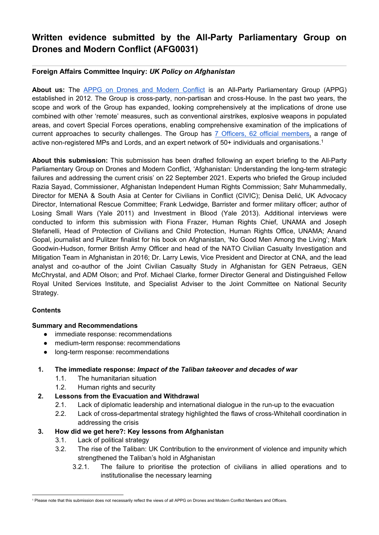# **Written evidence submitted by the All-Party Parliamentary Group on Drones and Modern Conflict (AFG0031)**

# **Foreign Affairs Committee Inquiry:** *UK Policy on Afghanistan*

**About us:** The [APPG](http://appgdrones.org.uk/) [on](http://appgdrones.org.uk/) [Drones](http://appgdrones.org.uk/) [and](http://appgdrones.org.uk/) [Modern](http://appgdrones.org.uk/) [Conflict](http://appgdrones.org.uk/) is an All-Party Parliamentary Group (APPG) established in 2012. The Group is cross-party, non-partisan and cross-House. In the past two years, the scope and work of the Group has expanded, looking comprehensively at the implications of drone use combined with other 'remote' measures, such as conventional airstrikes, explosive weapons in populated areas, and covert Special Forces operations, enabling comprehensive examination of the implications of current approaches to security challenges. The Group has [7](http://appgdrones.org.uk/about-2/members/) [Officers,](http://appgdrones.org.uk/about-2/members/) [62](http://appgdrones.org.uk/about-2/members/) [official](http://appgdrones.org.uk/about-2/members/) [members,](http://appgdrones.org.uk/about-2/members/) a range of active non-registered MPs and Lords, and an expert network of 50+ individuals and organisations.<sup>1</sup>

**About this submission:** This submission has been drafted following an expert briefing to the All-Party Parliamentary Group on Drones and Modern Conflict, 'Afghanistan: Understanding the long-term strategic failures and addressing the current crisis' on 22 September 2021. Experts who briefed the Group included Razia Sayad, Commissioner, Afghanistan Independent Human Rights Commission; Sahr Muhammedally, Director for MENA & South Asia at Center for Civilians in Conflict (CIVIC); Denisa Delić, UK Advocacy Director, International Rescue Committee; Frank Ledwidge, Barrister and former military officer; author of Losing Small Wars (Yale 2011) and Investment in Blood (Yale 2013). Additional interviews were conducted to inform this submission with Fiona Frazer, Human Rights Chief, UNAMA and Joseph Stefanelli, Head of Protection of Civilians and Child Protection, Human Rights Office, UNAMA; Anand Gopal, journalist and Pulitzer finalist for his book on Afghanistan, 'No Good Men Among the Living'; Mark Goodwin-Hudson, former British Army Officer and head of the NATO Civilian Casualty Investigation and Mitigation Team in Afghanistan in 2016; Dr. Larry Lewis, Vice President and Director at CNA, and the lead analyst and co-author of the Joint Civilian Casualty Study in Afghanistan for GEN Petraeus, GEN McChrystal, and ADM Olson; and Prof. Michael Clarke, former Director General and Distinguished Fellow Royal United Services Institute, and Specialist Adviser to the Joint Committee on National Security Strategy.

### **Contents**

### **Summary and Recommendations**

- immediate response: recommendations
- medium-term response: recommendations
- long-term response: recommendations

### **1. The immediate response:** *Impact of the Taliban takeover and decades of war*

- 1.1. The humanitarian situation
- 1.2. Human rights and security
- **2. Lessons from the Evacuation and Withdrawal**
	- 2.1. Lack of diplomatic leadership and international dialogue in the run-up to the evacuation
	- 2.2. Lack of cross-departmental strategy highlighted the flaws of cross-Whitehall coordination in addressing the crisis

# **3. How did we get here?: Key lessons from Afghanistan**

- 3.1. Lack of political strategy
- 3.2. The rise of the Taliban: UK Contribution to the environment of violence and impunity which strengthened the Taliban's hold in Afghanistan
	- 3.2.1. The failure to prioritise the protection of civilians in allied operations and to institutionalise the necessary learning

<sup>1</sup> Please note that this submission does not necessarily reflect the views of all APPG on Drones and Modern Conflict Members and Officers.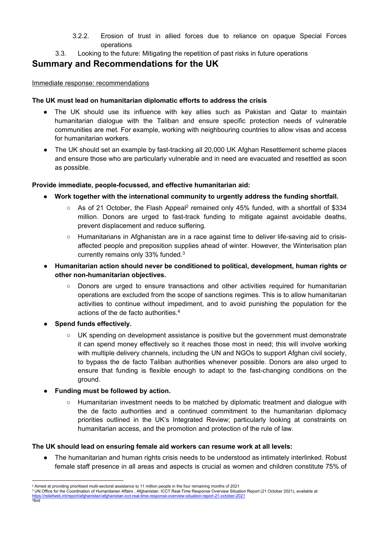- 3.2.2. Erosion of trust in allied forces due to reliance on opaque Special Forces operations
- 3.3. Looking to the future: Mitigating the repetition of past risks in future operations

# **Summary and Recommendations for the UK**

# Immediate response: recommendations

# **The UK must lead on humanitarian diplomatic efforts to address the crisis**

- The UK should use its influence with key allies such as Pakistan and Qatar to maintain humanitarian dialogue with the Taliban and ensure specific protection needs of vulnerable communities are met. For example, working with neighbouring countries to allow visas and access for humanitarian workers.
- The UK should set an example by fast-tracking all 20,000 UK Afghan Resettlement scheme places and ensure those who are particularly vulnerable and in need are evacuated and resettled as soon as possible.

# **Provide immediate, people-focussed, and effective humanitarian aid:**

- **Work together with the international community to urgently address the funding shortfall.**
	- $\circ$  As of 21 October, the Flash Appeal<sup>2</sup> remained only 45% funded, with a shortfall of \$334 million. Donors are urged to fast-track funding to mitigate against avoidable deaths, prevent displacement and reduce suffering.
	- Humanitarians in Afghanistan are in a race against time to deliver life-saving aid to crisisaffected people and preposition supplies ahead of winter. However, the Winterisation plan currently remains only 33% funded.<sup>3</sup>
- **Humanitarian action should never be conditioned to political, development, human rights or other non-humanitarian objectives.**
	- Donors are urged to ensure transactions and other activities required for humanitarian operations are excluded from the scope of sanctions regimes. This is to allow humanitarian activities to continue without impediment, and to avoid punishing the population for the actions of the de facto authorities.<sup>4</sup>
- **Spend funds effectively.**
	- UK spending on development assistance is positive but the government must demonstrate it can spend money effectively so it reaches those most in need; this will involve working with multiple delivery channels, including the UN and NGOs to support Afghan civil society, to bypass the de facto Taliban authorities whenever possible. Donors are also urged to ensure that funding is flexible enough to adapt to the fast-changing conditions on the ground.
- **Funding must be followed by action.** 
	- Humanitarian investment needs to be matched by diplomatic treatment and dialogue with the de facto authorities and a continued commitment to the humanitarian diplomacy priorities outlined in the UK's Integrated Review; particularly looking at constraints on humanitarian access, and the promotion and protection of the rule of law.

### **The UK should lead on ensuring female aid workers can resume work at all levels:**

The humanitarian and human rights crisis needs to be understood as intimately interlinked. Robust female staff presence in all areas and aspects is crucial as women and children constitute 75% of

- <sup>3</sup> UN Office for the Coordination of Humanitarian Affairs , Afghanistan: ICCT Real-Time Response Overview Situation Report (21 October 2021), available at: <https://reliefweb.int/report/afghanistan/afghanistan-icct-real-time-response-overview-situation-report-21-october-2021>
- 4 Ibid

<sup>2</sup> Aimed at providing prioritised multi-sectoral assistance to 11 million people in the four remaining months of 2021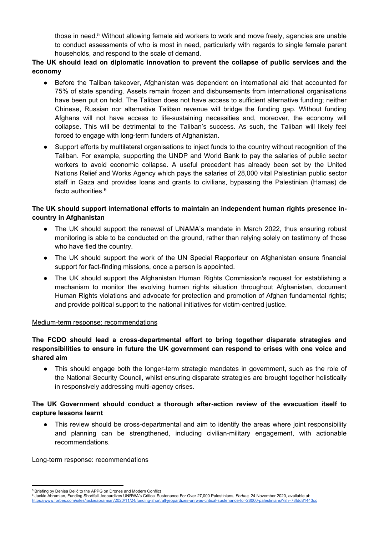those in need.<sup>5</sup> Without allowing female aid workers to work and move freely, agencies are unable to conduct assessments of who is most in need, particularly with regards to single female parent households, and respond to the scale of demand.

# **The UK should lead on diplomatic innovation to prevent the collapse of public services and the economy**

- Before the Taliban takeover, Afghanistan was dependent on international aid that accounted for 75% of state spending. Assets remain frozen and disbursements from international organisations have been put on hold. The Taliban does not have access to sufficient alternative funding; neither Chinese, Russian nor alternative Taliban revenue will bridge the funding gap. Without funding Afghans will not have access to life-sustaining necessities and, moreover, the economy will collapse. This will be detrimental to the Taliban's success. As such, the Taliban will likely feel forced to engage with long-term funders of Afghanistan.
- Support efforts by multilateral organisations to inject funds to the country without recognition of the Taliban. For example, supporting the UNDP and World Bank to pay the salaries of public sector workers to avoid economic collapse. A useful precedent has already been set by the United Nations Relief and Works Agency which pays the salaries of 28,000 vital Palestinian public sector staff in Gaza and provides loans and grants to civilians, bypassing the Palestinian (Hamas) de facto authorities.<sup>6</sup>

# **The UK should support international efforts to maintain an independent human rights presence incountry in Afghanistan**

- The UK should support the renewal of UNAMA's mandate in March 2022, thus ensuring robust monitoring is able to be conducted on the ground, rather than relying solely on testimony of those who have fled the country.
- The UK should support the work of the UN Special Rapporteur on Afghanistan ensure financial support for fact-finding missions, once a person is appointed.
- The UK should support the Afghanistan Human Rights Commission's request for establishing a mechanism to monitor the evolving human rights situation throughout Afghanistan, document Human Rights violations and advocate for protection and promotion of Afghan fundamental rights; and provide political support to the national initiatives for victim-centred justice.

### Medium-term response: recommendations

# **The FCDO should lead a cross-departmental effort to bring together disparate strategies and responsibilities to ensure in future the UK government can respond to crises with one voice and shared aim**

● This should engage both the longer-term strategic mandates in government, such as the role of the National Security Council, whilst ensuring disparate strategies are brought together holistically in responsively addressing multi-agency crises.

### **The UK Government should conduct a thorough after-action review of the evacuation itself to capture lessons learnt**

● This review should be cross-departmental and aim to identify the areas where joint responsibility and planning can be strengthened, including civilian-military engagement, with actionable recommendations.

#### Long-term response: recommendations

<sup>5</sup> Briefing by Denisa Delić to the APPG on Drones and Modern Conflict

<sup>6</sup> Jackie Abramian, Funding Shortfall Jeopardizes UNRWA's Critical Sustenance For Over 27,000 Palestinians, *Forbes,* 24 November 2020, available at: <https://www.forbes.com/sites/jackieabramian/2020/11/24/funding-shortfall-jeopardizes-unrwas-critical-sustenance-for-28000-palestinians/?sh=78fdd81443cc>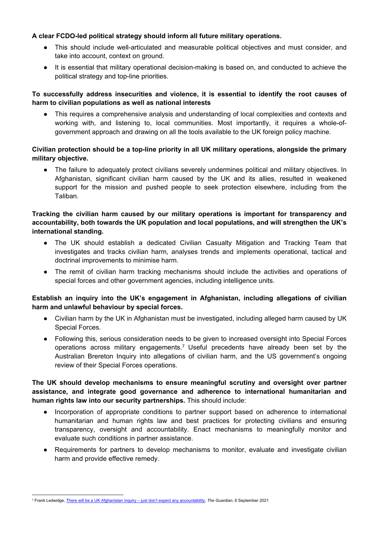## **A clear FCDO-led political strategy should inform all future military operations.**

- This should include well-articulated and measurable political objectives and must consider, and take into account, context on ground.
- It is essential that military operational decision-making is based on, and conducted to achieve the political strategy and top-line priorities.

# **To successfully address insecurities and violence, it is essential to identify the root causes of harm to civilian populations as well as national interests**

This requires a comprehensive analysis and understanding of local complexities and contexts and working with, and listening to, local communities. Most importantly, it requires a whole-ofgovernment approach and drawing on all the tools available to the UK foreign policy machine.

# **Civilian protection should be a top-line priority in all UK military operations, alongside the primary military objective.**

● The failure to adequately protect civilians severely undermines political and military objectives. In Afghanistan, significant civilian harm caused by the UK and its allies, resulted in weakened support for the mission and pushed people to seek protection elsewhere, including from the Taliban.

# **Tracking the civilian harm caused by our military operations is important for transparency and accountability, both towards the UK population and local populations, and will strengthen the UK's international standing.**

- The UK should establish a dedicated Civilian Casualty Mitigation and Tracking Team that investigates and tracks civilian harm, analyses trends and implements operational, tactical and doctrinal improvements to minimise harm.
- The remit of civilian harm tracking mechanisms should include the activities and operations of special forces and other government agencies, including intelligence units.

# **Establish an inquiry into the UK's engagement in Afghanistan, including allegations of civilian harm and unlawful behaviour by special forces.**

- Civilian harm by the UK in Afghanistan must be investigated, including alleged harm caused by UK Special Forces.
- Following this, serious consideration needs to be given to increased oversight into Special Forces operations across military engagements.<sup>7</sup> Useful precedents have already been set by the Australian Brereton Inquiry into allegations of civilian harm, and the US government's ongoing review of their Special Forces operations.

# **The UK should develop mechanisms to ensure meaningful scrutiny and oversight over partner assistance, and integrate good governance and adherence to international humanitarian and human rights law into our security partnerships.** This should include:

- Incorporation of appropriate conditions to partner support based on adherence to international humanitarian and human rights law and best practices for protecting civilians and ensuring transparency, oversight and accountability. Enact mechanisms to meaningfully monitor and evaluate such conditions in partner assistance.
- Requirements for partners to develop mechanisms to monitor, evaluate and investigate civilian harm and provide effective remedy.

<sup>7</sup> Frank Ledwidge, [There](https://www.theguardian.com/commentisfree/2021/sep/06/uk-afghanistan-inquiry-accountability-iraq) [will](https://www.theguardian.com/commentisfree/2021/sep/06/uk-afghanistan-inquiry-accountability-iraq) [be](https://www.theguardian.com/commentisfree/2021/sep/06/uk-afghanistan-inquiry-accountability-iraq) [a](https://www.theguardian.com/commentisfree/2021/sep/06/uk-afghanistan-inquiry-accountability-iraq) [UK](https://www.theguardian.com/commentisfree/2021/sep/06/uk-afghanistan-inquiry-accountability-iraq) [Afghanistan](https://www.theguardian.com/commentisfree/2021/sep/06/uk-afghanistan-inquiry-accountability-iraq) [inquiry](https://www.theguardian.com/commentisfree/2021/sep/06/uk-afghanistan-inquiry-accountability-iraq) [–](https://www.theguardian.com/commentisfree/2021/sep/06/uk-afghanistan-inquiry-accountability-iraq) [just](https://www.theguardian.com/commentisfree/2021/sep/06/uk-afghanistan-inquiry-accountability-iraq) [don't](https://www.theguardian.com/commentisfree/2021/sep/06/uk-afghanistan-inquiry-accountability-iraq) [expect](https://www.theguardian.com/commentisfree/2021/sep/06/uk-afghanistan-inquiry-accountability-iraq) [any](https://www.theguardian.com/commentisfree/2021/sep/06/uk-afghanistan-inquiry-accountability-iraq) [accountability](https://www.theguardian.com/commentisfree/2021/sep/06/uk-afghanistan-inquiry-accountability-iraq), *The Guardian*, 6 September 2021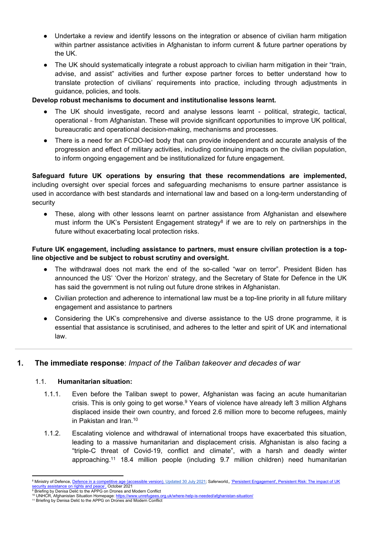- Undertake a review and identify lessons on the integration or absence of civilian harm mitigation within partner assistance activities in Afghanistan to inform current & future partner operations by the UK.
- The UK should systematically integrate a robust approach to civilian harm mitigation in their "train, advise, and assist" activities and further expose partner forces to better understand how to translate protection of civilians' requirements into practice, including through adjustments in guidance, policies, and tools.

#### **Develop robust mechanisms to document and institutionalise lessons learnt.**

- The UK should investigate, record and analyse lessons learnt political, strategic, tactical, operational - from Afghanistan. These will provide significant opportunities to improve UK political, bureaucratic and operational decision-making, mechanisms and processes.
- There is a need for an FCDO-led body that can provide independent and accurate analysis of the progression and effect of military activities, including continuing impacts on the civilian population, to inform ongoing engagement and be institutionalized for future engagement.

**Safeguard future UK operations by ensuring that these recommendations are implemented,** including oversight over special forces and safeguarding mechanisms to ensure partner assistance is used in accordance with best standards and international law and based on a long-term understanding of security

• These, along with other lessons learnt on partner assistance from Afghanistan and elsewhere must inform the UK's Persistent Engagement strategy<sup>8</sup> if we are to rely on partnerships in the future without exacerbating local protection risks.

## **Future UK engagement, including assistance to partners, must ensure civilian protection is a topline objective and be subject to robust scrutiny and oversight.**

- The withdrawal does not mark the end of the so-called "war on terror". President Biden has announced the US' 'Over the Horizon' strategy, and the Secretary of State for Defence in the UK has said the government is not ruling out future drone strikes in Afghanistan.
- Civilian protection and adherence to international law must be a top-line priority in all future military engagement and assistance to partners
- Considering the UK's comprehensive and diverse assistance to the US drone programme, it is essential that assistance is scrutinised, and adheres to the letter and spirit of UK and international law.

### **1. The immediate response**: *Impact of the Taliban takeover and decades of war*

### 1.1. **Humanitarian situation:**

- 1.1.1. Even before the Taliban swept to power, Afghanistan was facing an acute humanitarian crisis. This is only going to get worse.<sup>9</sup> Years of violence have already left 3 million Afghans displaced inside their own country, and forced 2.6 million more to become refugees, mainly in Pakistan and Iran.<sup>10</sup>
- 1.1.2. Escalating violence and withdrawal of international troops have exacerbated this situation, leading to a massive humanitarian and displacement crisis. Afghanistan is also facing a "triple-C threat of Covid-19, conflict and climate", with a harsh and deadly winter approaching.<sup>11</sup> 18.4 million people (including 9.7 million children) need humanitarian

<sup>8</sup> Ministry of [Defence](file:///C:/Users/KINDERD/Downloads/Users/aditigupta/Downloads/Defence%20in%20a%20competitive%20age%20(accessible%20version)), Defence [in](file:///C:/Users/KINDERD/Downloads/Users/aditigupta/Downloads/Defence%20in%20a%20competitive%20age%20(accessible%20version)) [a](file:///C:/Users/KINDERD/Downloads/Users/aditigupta/Downloads/Defence%20in%20a%20competitive%20age%20(accessible%20version)) [competitive](file:///C:/Users/KINDERD/Downloads/Users/aditigupta/Downloads/Defence%20in%20a%20competitive%20age%20(accessible%20version)) [age](file:///C:/Users/KINDERD/Downloads/Users/aditigupta/Downloads/Defence%20in%20a%20competitive%20age%20(accessible%20version)) [\(accessible](file:///C:/Users/KINDERD/Downloads/Users/aditigupta/Downloads/Defence%20in%20a%20competitive%20age%20(accessible%20version)) [version\),](file:///C:/Users/KINDERD/Downloads/Users/aditigupta/Downloads/Defence%20in%20a%20competitive%20age%20(accessible%20version)) Updated 30 July 2021; Saferworld,, ['Persistent](https://www.saferworld.org.uk/resources/publications/1373-persistent-engagement-persistent-risk-the-impact-of-uk-security-assistance-on-rights-and-peace) [Engagement',](https://www.saferworld.org.uk/resources/publications/1373-persistent-engagement-persistent-risk-the-impact-of-uk-security-assistance-on-rights-and-peace) [Persistent](https://www.saferworld.org.uk/resources/publications/1373-persistent-engagement-persistent-risk-the-impact-of-uk-security-assistance-on-rights-and-peace) [Risk:](https://www.saferworld.org.uk/resources/publications/1373-persistent-engagement-persistent-risk-the-impact-of-uk-security-assistance-on-rights-and-peace) [The](https://www.saferworld.org.uk/resources/publications/1373-persistent-engagement-persistent-risk-the-impact-of-uk-security-assistance-on-rights-and-peace) [impact](https://www.saferworld.org.uk/resources/publications/1373-persistent-engagement-persistent-risk-the-impact-of-uk-security-assistance-on-rights-and-peace) [of](https://www.saferworld.org.uk/resources/publications/1373-persistent-engagement-persistent-risk-the-impact-of-uk-security-assistance-on-rights-and-peace) [UK](https://www.saferworld.org.uk/resources/publications/1373-persistent-engagement-persistent-risk-the-impact-of-uk-security-assistance-on-rights-and-peace) <u>[security](https://www.saferworld.org.uk/resources/publications/1373-persistent-engagement-persistent-risk-the-impact-of-uk-security-assistance-on-rights-and-peace) [assistance](https://www.saferworld.org.uk/resources/publications/1373-persistent-engagement-persistent-risk-the-impact-of-uk-security-assistance-on-rights-and-peace) [on](https://www.saferworld.org.uk/resources/publications/1373-persistent-engagement-persistent-risk-the-impact-of-uk-security-assistance-on-rights-and-peace) [rights](https://www.saferworld.org.uk/resources/publications/1373-persistent-engagement-persistent-risk-the-impact-of-uk-security-assistance-on-rights-and-peace) [and](https://www.saferworld.org.uk/resources/publications/1373-persistent-engagement-persistent-risk-the-impact-of-uk-security-assistance-on-rights-and-peace) [peace',](https://www.saferworld.org.uk/resources/publications/1373-persistent-engagement-persistent-risk-the-impact-of-uk-security-assistance-on-rights-and-peace)</u> October 2021<br><sup>9</sup> Briefing by Denisa Delić to the APPG on Drones and Modern Conflict

<sup>10</sup> UNHCR, Afghanistan Situation Homepage: <https://www.unrefugees.org.uk/where-help-is-needed/afghanistan-situation/>

<sup>&</sup>lt;sup>11</sup> Briefing by Denisa Delić to the APPG on Drones and Modern Conflict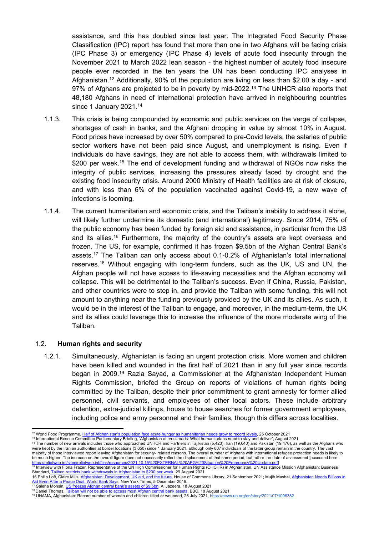assistance, and this has doubled since last year. The Integrated Food Security Phase Classification (IPC) report has found that more than one in two Afghans will be facing crisis (IPC Phase 3) or emergency (IPC Phase 4) levels of acute food insecurity through the November 2021 to March 2022 lean season - the highest number of acutely food insecure people ever recorded in the ten years the UN has been conducting IPC analyses in Afghanistan.<sup>12</sup> Additionally, 90% of the population are living on less than \$2.00 a day - and 97% of Afghans are projected to be in poverty by mid-2022.<sup>13</sup> The UNHCR also reports that 48,180 Afghans in need of international protection have arrived in neighbouring countries since 1 January 2021.<sup>14</sup>

- 1.1.3. This crisis is being compounded by economic and public services on the verge of collapse, shortages of cash in banks, and the Afghani dropping in value by almost 10% in August. Food prices have increased by over 50% compared to pre-Covid levels, the salaries of public sector workers have not been paid since August, and unemployment is rising. Even if individuals do have savings, they are not able to access them, with withdrawals limited to \$200 per week.<sup>15</sup> The end of development funding and withdrawal of NGOs now risks the integrity of public services, increasing the pressures already faced by drought and the existing food insecurity crisis. Around 2000 Ministry of Health facilities are at risk of closure, and with less than 6% of the population vaccinated against Covid-19, a new wave of infections is looming.
- 1.1.4. The current humanitarian and economic crisis, and the Taliban's inability to address it alone, will likely further undermine its domestic (and international) legitimacy. Since 2014, 75% of the public economy has been funded by foreign aid and assistance, in particular from the US and its allies.<sup>16</sup> Furthermore, the majority of the country's assets are kept overseas and frozen. The US, for example, confirmed it has frozen \$9.5bn of the Afghan Central Bank's assets.<sup>17</sup> The Taliban can only access about 0.1-0.2% of Afghanistan's total international reserves.<sup>18</sup> Without engaging with long-term funders, such as the UK, US and UN, the Afghan people will not have access to life-saving necessities and the Afghan economy will collapse. This will be detrimental to the Taliban's success. Even if China, Russia, Pakistan, and other countries were to step in, and provide the Taliban with some funding, this will not amount to anything near the funding previously provided by the UK and its allies. As such, it would be in the interest of the Taliban to engage, and moreover, in the medium-term, the UK and its allies could leverage this to increase the influence of the more moderate wing of the Taliban.

#### 1.2. **Human rights and security**

1.2.1. Simultaneously, Afghanistan is facing an urgent protection crisis. More women and children have been killed and wounded in the first half of 2021 than in any full year since records began in 2009.<sup>19</sup> Razia Sayad, a Commissioner at the Afghanistan Independent Human Rights Commission, briefed the Group on reports of violations of human rights being committed by the Taliban, despite their prior commitment to grant amnesty for former allied personnel, civil servants, and employees of other local actors. These include arbitrary detention, extra-judicial killings, house to house searches for former government employees, including police and army personnel and their families, though this differs across localities.

<sup>12</sup> World Food Programme, [Half](https://www.wfp.org/news/half-afghanistans-population-face-acute-hunger-humanitarian-needs-grow-record-levels) [of](https://www.wfp.org/news/half-afghanistans-population-face-acute-hunger-humanitarian-needs-grow-record-levels) [Afghanistan's](https://www.wfp.org/news/half-afghanistans-population-face-acute-hunger-humanitarian-needs-grow-record-levels) [population](https://www.wfp.org/news/half-afghanistans-population-face-acute-hunger-humanitarian-needs-grow-record-levels) [face](https://www.wfp.org/news/half-afghanistans-population-face-acute-hunger-humanitarian-needs-grow-record-levels) [acute](https://www.wfp.org/news/half-afghanistans-population-face-acute-hunger-humanitarian-needs-grow-record-levels) [hunger](https://www.wfp.org/news/half-afghanistans-population-face-acute-hunger-humanitarian-needs-grow-record-levels) [as](https://www.wfp.org/news/half-afghanistans-population-face-acute-hunger-humanitarian-needs-grow-record-levels) [humanitarian](https://www.wfp.org/news/half-afghanistans-population-face-acute-hunger-humanitarian-needs-grow-record-levels) [needs](https://www.wfp.org/news/half-afghanistans-population-face-acute-hunger-humanitarian-needs-grow-record-levels) [grow](https://www.wfp.org/news/half-afghanistans-population-face-acute-hunger-humanitarian-needs-grow-record-levels) [to](https://www.wfp.org/news/half-afghanistans-population-face-acute-hunger-humanitarian-needs-grow-record-levels) [record](https://www.wfp.org/news/half-afghanistans-population-face-acute-hunger-humanitarian-needs-grow-record-levels) [levels](https://www.wfp.org/news/half-afghanistans-population-face-acute-hunger-humanitarian-needs-grow-record-levels), 25 October 2021

<sup>13</sup> International Rescue Committee Parliamentary Briefing, 'Afghanistan at crossroads: What humanitarians need to stay and deliver', August 2021

<sup>14</sup> The number of new arrivals includes those who approached UNHCR and Partners in Tajikistan (5,420), Iran (19,640) and Pakistan (19,470), as well as the Afghans who were kept by the Iranian authorities at border locations (3,650) since 1 January 2021, although only 807 individuals of the latter group remain in the country. The vast majority of those interviewed report leaving Afghanistan for security-related reasons. The overall number of Afghans with international refugee protection needs is likely to be much higher. The increase on the overall figure does not necessarily reflect the displacement of that same period, but rather the date of assessment [accessed here:

<sup>&</sup>lt;u>[https://reliefweb.int/sites/reliefweb.int/files/resources/2021.10.15%20EXTERNAL%20AFG%20Situation%20Emergency%20Update.pdf\]](https://reliefweb.int/sites/reliefweb.int/files/resources/2021.10.15%20EXTERNAL%20AFG%20Situation%20Emergency%20Update.pdf)<br><sup>15</sup> Interview with F[io](https://www.business-standard.com/article/international/taliban-restricts-bank-withdrawals-in-afghanistan-to-200-per-week-121082900338_1.html)na Frazer, Representative of the UN High Commissioner for Human Rights (OH</u> Standard, [Taliban](https://www.business-standard.com/article/international/taliban-restricts-bank-withdrawals-in-afghanistan-to-200-per-week-121082900338_1.html) [restricts](https://www.business-standard.com/article/international/taliban-restricts-bank-withdrawals-in-afghanistan-to-200-per-week-121082900338_1.html) [bank](https://www.business-standard.com/article/international/taliban-restricts-bank-withdrawals-in-afghanistan-to-200-per-week-121082900338_1.html) [withdrawals](https://www.business-standard.com/article/international/taliban-restricts-bank-withdrawals-in-afghanistan-to-200-per-week-121082900338_1.html) [in](https://www.business-standard.com/article/international/taliban-restricts-bank-withdrawals-in-afghanistan-to-200-per-week-121082900338_1.html) [Afghanistan](https://www.business-standard.com/article/international/taliban-restricts-bank-withdrawals-in-afghanistan-to-200-per-week-121082900338_1.html) [to](https://www.business-standard.com/article/international/taliban-restricts-bank-withdrawals-in-afghanistan-to-200-per-week-121082900338_1.html) [\\$200](https://www.business-standard.com/article/international/taliban-restricts-bank-withdrawals-in-afghanistan-to-200-per-week-121082900338_1.html) [per](https://www.business-standard.com/article/international/taliban-restricts-bank-withdrawals-in-afghanistan-to-200-per-week-121082900338_1.html) [week,](https://www.business-standard.com/article/international/taliban-restricts-bank-withdrawals-in-afghanistan-to-200-per-week-121082900338_1.html) 29 August 2021.

<sup>16</sup> Philip Loft, Claire Mi[ll](https://www.nytimes.com/2019/12/05/world/asia/afghanistan-aid-world-bank.html)s, [Afghanistan:](https://researchbriefings.files.parliament.uk/documents/CBP-9276/CBP-9276.pdf) [Development,](https://researchbriefings.files.parliament.uk/documents/CBP-9276/CBP-9276.pdf) [UK](https://researchbriefings.files.parliament.uk/documents/CBP-9276/CBP-9276.pdf) [aid,](https://researchbriefings.files.parliament.uk/documents/CBP-9276/CBP-9276.pdf) [and](https://researchbriefings.files.parliament.uk/documents/CBP-9276/CBP-9276.pdf) [the](https://researchbriefings.files.parliament.uk/documents/CBP-9276/CBP-9276.pdf) [future](https://researchbriefings.files.parliament.uk/documents/CBP-9276/CBP-9276.pdf), House of Commons Library, 21 September 2021; Mujib Mashal, [Afghanistan](https://www.nytimes.com/2019/12/05/world/asia/afghanistan-aid-world-bank.html) [Needs](https://www.nytimes.com/2019/12/05/world/asia/afghanistan-aid-world-bank.html) [Billions](https://www.nytimes.com/2019/12/05/world/asia/afghanistan-aid-world-bank.html) [in](https://www.nytimes.com/2019/12/05/world/asia/afghanistan-aid-world-bank.html) <u>[Aid](https://www.nytimes.com/2019/12/05/world/asia/afghanistan-aid-world-bank.html) [Even](https://www.nytimes.com/2019/12/05/world/asia/afghanistan-aid-world-bank.html) [After](https://www.nytimes.com/2019/12/05/world/asia/afghanistan-aid-world-bank.html) [a](https://www.nytimes.com/2019/12/05/world/asia/afghanistan-aid-world-bank.html) [Peace](https://www.nytimes.com/2019/12/05/world/asia/afghanistan-aid-world-bank.html) [Deal,](https://www.nytimes.com/2019/12/05/world/asia/afghanistan-aid-world-bank.html) [World](https://www.nytimes.com/2019/12/05/world/asia/afghanistan-aid-world-bank.html) [Bank](https://www.nytimes.com/2019/12/05/world/asia/afghanistan-aid-world-bank.html) Say</u>s, New York Times, 5 December 2019.<br><sup>17</sup> Saleha Mohsin, <u>[US](https://www.aljazeera.com/economy/2021/8/18/us-freezes-afghan-central-banks-assets-of-9-5bn) [freezes](https://www.aljazeera.com/economy/2021/8/18/us-freezes-afghan-central-banks-assets-of-9-5bn) [Afghan](https://www.aljazeera.com/economy/2021/8/18/us-freezes-afghan-central-banks-assets-of-9-5bn) [central](https://www.aljazeera.com/economy/2021/8/18/us-freezes-afghan-central-banks-assets-of-9-5bn) [bank's](https://www.aljazeera.com/economy/2021/8/18/us-freezes-afghan-central-banks-assets-of-9-5bn) [assets](https://www.aljazeera.com/economy/2021/8/18/us-freezes-afghan-central-banks-assets-of-9-5bn) [of](https://www.aljazeera.com/economy/2021/8/18/us-freezes-afghan-central-banks-assets-of-9-5bn) [\\$9.5bn](https://www.aljazeera.com/economy/2021/8/18/us-freezes-afghan-central-banks-assets-of-9-5bn),</u> Al Jazeera, 18 August 2021

<sup>&</sup>lt;sup>18</sup> Daniel Thomas, [Taliban](https://www.bbc.co.uk/news/business-58261659?fbclid=IwAR0-d6gjJEXiXtRwPLcT8goPliEREs6gvy_mnRTPSyIMtrqT8EgZfY6UmYA) [will](https://www.bbc.co.uk/news/business-58261659?fbclid=IwAR0-d6gjJEXiXtRwPLcT8goPliEREs6gvy_mnRTPSyIMtrqT8EgZfY6UmYA) [not](https://www.bbc.co.uk/news/business-58261659?fbclid=IwAR0-d6gjJEXiXtRwPLcT8goPliEREs6gvy_mnRTPSyIMtrqT8EgZfY6UmYA) [be](https://www.bbc.co.uk/news/business-58261659?fbclid=IwAR0-d6gjJEXiXtRwPLcT8goPliEREs6gvy_mnRTPSyIMtrqT8EgZfY6UmYA) [able](https://www.bbc.co.uk/news/business-58261659?fbclid=IwAR0-d6gjJEXiXtRwPLcT8goPliEREs6gvy_mnRTPSyIMtrqT8EgZfY6UmYA) [to](https://www.bbc.co.uk/news/business-58261659?fbclid=IwAR0-d6gjJEXiXtRwPLcT8goPliEREs6gvy_mnRTPSyIMtrqT8EgZfY6UmYA) [access](https://www.bbc.co.uk/news/business-58261659?fbclid=IwAR0-d6gjJEXiXtRwPLcT8goPliEREs6gvy_mnRTPSyIMtrqT8EgZfY6UmYA) [most](https://www.bbc.co.uk/news/business-58261659?fbclid=IwAR0-d6gjJEXiXtRwPLcT8goPliEREs6gvy_mnRTPSyIMtrqT8EgZfY6UmYA) [Afghan](https://www.bbc.co.uk/news/business-58261659?fbclid=IwAR0-d6gjJEXiXtRwPLcT8goPliEREs6gvy_mnRTPSyIMtrqT8EgZfY6UmYA) [central](https://www.bbc.co.uk/news/business-58261659?fbclid=IwAR0-d6gjJEXiXtRwPLcT8goPliEREs6gvy_mnRTPSyIMtrqT8EgZfY6UmYA) [bank](https://www.bbc.co.uk/news/business-58261659?fbclid=IwAR0-d6gjJEXiXtRwPLcT8goPliEREs6gvy_mnRTPSyIMtrqT8EgZfY6UmYA) [assets,](https://www.bbc.co.uk/news/business-58261659?fbclid=IwAR0-d6gjJEXiXtRwPLcT8goPliEREs6gvy_mnRTPSyIMtrqT8EgZfY6UmYA) BBC, 18 August 2021

<sup>19</sup> UNAMA, Afghanistan: Record number of women and children killed or wounded, 26 July 2021, <https://news.un.org/en/story/2021/07/1096382>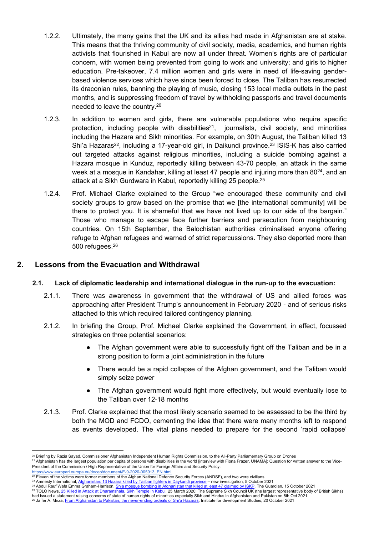- 1.2.2. Ultimately, the many gains that the UK and its allies had made in Afghanistan are at stake. This means that the thriving community of civil society, media, academics, and human rights activists that flourished in Kabul are now all under threat. Women's rights are of particular concern, with women being prevented from going to work and university; and girls to higher education. Pre-takeover, 7.4 million women and girls were in need of life-saving genderbased violence services which have since been forced to close. The Taliban has resurrected its draconian rules, banning the playing of music, closing 153 local media outlets in the past months, and is suppressing freedom of travel by withholding passports and travel documents needed to leave the country.<sup>20</sup>
- 1.2.3. In addition to women and girls, there are vulnerable populations who require specific protection, including people with disabilities<sup>21</sup>, journalists, civil society, and minorities including the Hazara and Sikh minorities. For example, on 30th August, the Taliban killed 13 Shi'a Hazaras<sup>22</sup>, including a 17-year-old girl, in Daikundi province.<sup>23</sup> ISIS-K has also carried out targeted attacks against religious minorities, including a suicide bombing against a Hazara mosque in Kunduz, reportedly killing between 43-70 people, an attack in the same week at a mosque in Kandahar, killing at least 47 people and injuring more than 80<sup>24</sup>, and an attack at a Sikh Gurdwara in Kabul, reportedly killing 25 people.<sup>25</sup>
- 1.2.4. Prof. Michael Clarke explained to the Group "we encouraged these community and civil society groups to grow based on the promise that we [the international community] will be there to protect you. It is shameful that we have not lived up to our side of the bargain." Those who manage to escape face further barriers and persecution from neighbouring countries. On 15th September, the Balochistan authorities [criminalised](https://www.samaa.tv/news/2021/09/balochistan-to-punish-residents-offering-refuge-to-afghans/) anyone offering refuge to Afghan refugees and warned of strict repercussions. They also [deported](https://www.nytimes.com/2021/09/08/world/asia/pakistan-afghanistan-refugees.html) more than 500 refugees.<sup>26</sup>

# **2. Lessons from the Evacuation and Withdrawal**

### **2.1. Lack of diplomatic leadership and international dialogue in the run-up to the evacuation:**

- 2.1.1. There was awareness in government that the withdrawal of US and allied forces was approaching after President Trump's announcement in February 2020 - and of serious risks attached to this which required tailored contingency planning.
- 2.1.2. In briefing the Group, Prof. Michael Clarke explained the Government, in effect, focussed strategies on three potential scenarios:
	- The Afghan government were able to successfully fight off the Taliban and be in a strong position to form a joint administration in the future
	- There would be a rapid collapse of the Afghan government, and the Taliban would simply seize power
	- The Afghan government would fight more effectively, but would eventually lose to the Taliban over 12-18 months
- 2.1.3. Prof. Clarke explained that the most likely scenario seemed to be assessed to be the third by both the MOD and FCDO, cementing the idea that there were many months left to respond as events developed. The vital plans needed to prepare for the second 'rapid collapse'

had issued a statement raising concerns of state of human rights of minorities especially Sikh and Hindus in Afghanistan and Pakistan on 8th Oct 2021.

<sup>&</sup>lt;sup>20</sup> Briefing by Razia Sayad, Commissioner Afghanistan Independent Human Rights Commission, to the All-Party Parliamentary Group on Drones

<sup>21</sup> Afghanistan has the largest population per capita of persons with disabilities in the world [interview with Fiona Frazer, UNAMA]; Question for written answer to the Vice-President of the Commission / High Representative of the Union for Foreign Affairs and Security Policy:

[https://www.europarl.europa.eu/doceo/document/E-9-2020-005913\\_EN.html](https://www.europarl.europa.eu/doceo/document/E-9-2020-005913_EN.html)<br><sup>22</sup> Eleven of the victims were former members of the Af[g](https://www.amnesty.org/en/latest/press-release/2021/10/afghanistan-13-hazara-killed-by-taliban-fighters-in-daykundi-province-new-investigation/)han National Def[en](https://www.amnesty.org/en/latest/press-release/2021/10/afghanistan-13-hazara-killed-by-taliban-fighters-in-daykundi-province-new-investigation/)ce Security Forces (ANDSF), and two were civilians.

<sup>&</sup>lt;sup>23</sup> Amnesty International, <u>[Afghanistan:](https://www.amnesty.org/en/latest/press-release/2021/10/afghanistan-13-hazara-killed-by-taliban-fighters-in-daykundi-province-new-investigation/) [13](https://www.amnesty.org/en/latest/press-release/2021/10/afghanistan-13-hazara-killed-by-taliban-fighters-in-daykundi-province-new-investigation/) [Hazara](https://www.amnesty.org/en/latest/press-release/2021/10/afghanistan-13-hazara-killed-by-taliban-fighters-in-daykundi-province-new-investigation/) [killed](https://www.theguardian.com/world/2021/oct/15/casualties-explosion-hits-shia-mosque-afghanistan) [by](https://www.theguardian.com/world/2021/oct/15/casualties-explosion-hits-shia-mosque-afghanistan) [Taliban](https://www.amnesty.org/en/latest/press-release/2021/10/afghanistan-13-hazara-killed-by-taliban-fighters-in-daykundi-province-new-investigation/) [fighters](https://www.amnesty.org/en/latest/press-release/2021/10/afghanistan-13-hazara-killed-by-taliban-fighters-in-daykundi-province-new-investigation/) [in](https://tolonews.com/afghanistan/fighting-inside-sikh-worship-area-kabul) [Daykundi](https://www.amnesty.org/en/latest/press-release/2021/10/afghanistan-13-hazara-killed-by-taliban-fighters-in-daykundi-province-new-investigation/) [province](https://www.amnesty.org/en/latest/press-release/2021/10/afghanistan-13-hazara-killed-by-taliban-fighters-in-daykundi-province-new-investigation/)</u> – new investigation, 5 October 2021<br><sup>24</sup> Abdul Rauf Wafa E[m](https://tolonews.com/afghanistan/fighting-inside-sikh-worship-area-kabul)ma Gr<mark>aham-Harrison, <u>[Shia](https://www.theguardian.com/world/2021/oct/15/casualties-explosion-hits-shia-mosque-afghanistan) [mosque](https://www.theguardian.com/world/2021/oct/15/casualties-explosion-hits-shia-mosque-afghanistan) [bombing](https://www.theguardian.com/world/2021/oct/15/casualties-explosion-hits-shia-mosque-afghanistan) in [Afghanistan](https://www.theguardian.com/world/2021/oct/15/casualties-explosion-hits-shia-mosque-afghanistan) [that](https://www.theguardian.com/world/2021/oct/15/casualties-explosion-hits-shia-mosque-afghanistan) </mark></u>

<sup>&</sup>lt;sup>26</sup> Jaffer A. Mirza, [From](https://www.ids.ac.uk/opinions/from-afghanistan-to-pakistan-the-never-ending-ordeals-of-shia-hazaras/) [Afghanistan](https://www.ids.ac.uk/opinions/from-afghanistan-to-pakistan-the-never-ending-ordeals-of-shia-hazaras/) [to](https://www.ids.ac.uk/opinions/from-afghanistan-to-pakistan-the-never-ending-ordeals-of-shia-hazaras/) [Pakistan,](https://www.ids.ac.uk/opinions/from-afghanistan-to-pakistan-the-never-ending-ordeals-of-shia-hazaras/) [the](https://www.ids.ac.uk/opinions/from-afghanistan-to-pakistan-the-never-ending-ordeals-of-shia-hazaras/) [never-ending](https://www.ids.ac.uk/opinions/from-afghanistan-to-pakistan-the-never-ending-ordeals-of-shia-hazaras/) [ordeals](https://www.ids.ac.uk/opinions/from-afghanistan-to-pakistan-the-never-ending-ordeals-of-shia-hazaras/) [of](https://www.ids.ac.uk/opinions/from-afghanistan-to-pakistan-the-never-ending-ordeals-of-shia-hazaras/) [Shi'a](https://www.ids.ac.uk/opinions/from-afghanistan-to-pakistan-the-never-ending-ordeals-of-shia-hazaras/) [Hazaras](https://www.ids.ac.uk/opinions/from-afghanistan-to-pakistan-the-never-ending-ordeals-of-shia-hazaras/), Institute for development Studies, 20 October 2021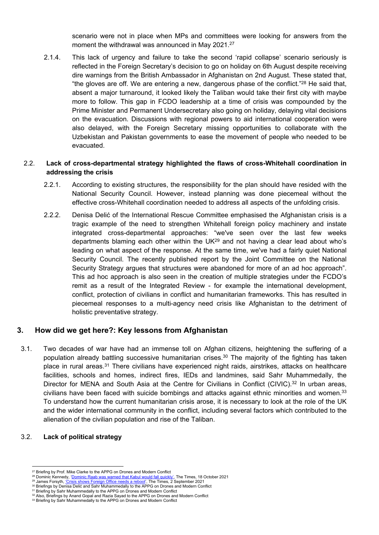scenario were not in place when MPs and committees were looking for answers from the moment the withdrawal was announced in May 2021.<sup>27</sup>

2.1.4. This lack of urgency and failure to take the second 'rapid collapse' scenario seriously is reflected in the Foreign Secretary's decision to go on holiday on 6th August despite receiving dire warnings from the British Ambassador in Afghanistan on 2nd August. These stated that, "the gloves are off. We are entering a new, dangerous phase of the conflict." $^{28}$  He said that, absent a major turnaround, it looked likely the Taliban would take their first city with maybe more to follow. This gap in FCDO leadership at a time of crisis was compounded by the Prime Minister and Permanent Undersecretary also going on holiday, delaying vital decisions on the evacuation. Discussions with regional powers to aid international cooperation were also delayed, with the Foreign Secretary missing opportunities to collaborate with the Uzbekistan and Pakistan governments to ease the movement of people who needed to be evacuated.

## 2.2. **Lack of cross-departmental strategy highlighted the flaws of cross-Whitehall coordination in addressing the crisis**

- 2.2.1. According to existing structures, the responsibility for the plan should have resided with the National Security Council. However, instead planning was done piecemeal without the effective cross-Whitehall coordination needed to address all aspects of the unfolding crisis.
- 2.2.2. Denisa Delić of the International Rescue Committee emphasised the Afghanistan crisis is a tragic example of the need to strengthen Whitehall foreign policy machinery and instate integrated cross-departmental approaches: "we've seen over the last few weeks departments blaming each other within the  $UK^{29}$  and not having a clear lead about who's leading on what aspect of the response. At the same time, we've had a fairly quiet National Security Council. The recently published report by the Joint Committee on the National Security Strategy argues that structures were abandoned for more of an ad hoc approach". This ad hoc approach is also seen in the creation of multiple strategies under the FCDO's remit as a result of the Integrated Review - for example the international development, conflict, protection of civilians in conflict and humanitarian frameworks. This has resulted in piecemeal responses to a multi-agency need crisis like Afghanistan to the detriment of holistic preventative strategy.

# **3. How did we get here?: Key lessons from Afghanistan**

3.1. Two decades of war have had an immense toll on Afghan citizens, heightening the suffering of a population already battling successive humanitarian crises.<sup>30</sup> The majority of the fighting has taken place in rural areas.<sup>31</sup> There civilians have experienced night raids, airstrikes, attacks on healthcare facilities, schools and homes, indirect fires, IEDs and landmines, said Sahr Muhammedally, the Director for MENA and South Asia at the Centre for Civilians in Conflict (CIVIC).<sup>32</sup> In urban areas, civilians have been faced with suicide bombings and attacks against ethnic minorities and women.<sup>33</sup> To understand how the current humanitarian crisis arose, it is necessary to look at the role of the UK and the wider international community in the conflict, including several factors which contributed to the alienation of the civilian population and rise of the Taliban.

# 3.2. **Lack of political strategy**

<sup>&</sup>lt;sup>27</sup> Briefing by Prof. Mike Clarke to the APPG on Drones and Modern Conflict

<sup>&</sup>lt;sup>28</sup> [Dominic](file:///C:/Users/KINDERD/Downloads/Users/aditigupta/Downloads/Crisis%20shows%20Foreign%20Office%20needs%20a%20reboot) Kennedy, '<u>Dominic [Raab](file:///C:/Users/KINDERD/Downloads/Users/aditigupta/Downloads/Crisis%20shows%20Foreign%20Office%20needs%20a%20reboot) [was](file:///C:/Users/KINDERD/Downloads/Users/aditigupta/Downloads/Crisis%20shows%20Foreign%20Office%20needs%20a%20reboot) [warned](file:///C:/Users/KINDERD/Downloads/Users/aditigupta/Downloads/Crisis%20shows%20Foreign%20Office%20needs%20a%20reboot) [that](file:///C:/Users/KINDERD/Downloads/Users/aditigupta/Downloads/Crisis%20shows%20Foreign%20Office%20needs%20a%20reboot) [Kabul](file:///C:/Users/KINDERD/Downloads/Users/aditigupta/Downloads/Crisis%20shows%20Foreign%20Office%20needs%20a%20reboot) [would](file:///C:/Users/KINDERD/Downloads/Users/aditigupta/Downloads/Crisis%20shows%20Foreign%20Office%20needs%20a%20reboot) [fall](file:///C:/Users/KINDERD/Downloads/Users/aditigupta/Downloads/Crisis%20shows%20Foreign%20Office%20needs%20a%20reboot) [quickly'](file:///C:/Users/KINDERD/Downloads/Users/aditigupta/Downloads/Crisis%20shows%20Foreign%20Office%20needs%20a%20reboot)</u>, The Times, 18 October 2021<br><sup>29</sup> James Forsyth, <u>['Crisis](https://www.thetimes.co.uk/article/afghan-crisis-shows-the-foreign-office-needs-a-reboot-phz6l2gb3) [shows](https://www.thetimes.co.uk/article/afghan-crisis-shows-the-foreign-office-needs-a-reboot-phz6l2gb3) [Foreign](https://www.thetimes.co.uk/article/afghan-crisis-shows-the-foreign-office-needs-a-reboot-phz6l2gb3) [Office](https://www.thetimes.co.uk/article/afghan-crisis-shows-the-foreign-office-needs-a-reboot-phz6l2gb3) [needs](https://www.thetimes.co.uk/article/afghan-crisis-shows-the-foreign-office-needs-a-reboot-phz6l2gb3) [a](https://www.thetimes.co.uk/article/afghan-crisis-shows-the-foreign-office-needs-a-reboot-phz6l2gb3) reboot</u>', The Times, 2 September 2021

<sup>30</sup> Briefings by Denisa Delić and Sahr Muhammedally to the APPG on Drones and Modern Conflict

<sup>&</sup>lt;sup>31</sup> Briefing by Sahr Muhammedally to the APPG on Drones and Modern Conflict

<sup>32</sup> Also, Briefings by Anand Gopal and Razia Sayad to the APPG on Drones and Modern Conflict

<sup>33</sup> Briefing by Sahr Muhammedally to the APPG on Drones and Modern Conflict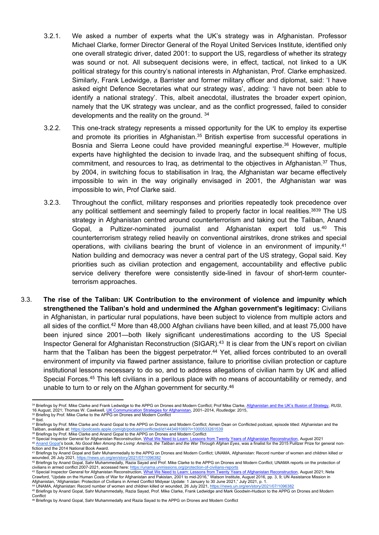- 3.2.1. We asked a number of experts what the UK's strategy was in Afghanistan. Professor Michael Clarke, former Director General of the Royal United Services Institute, identified only one overall strategic driver, dated 2001: to support the US, regardless of whether its strategy was sound or not. All subsequent decisions were, in effect, tactical, not linked to a UK political strategy for this country's national interests in Afghanistan, Prof. Clarke emphasized. Similarly, Frank Ledwidge, a Barrister and former military officer and diplomat, said: 'I have asked eight Defence Secretaries what our strategy was', adding: 'I have not been able to identify a national strategy'. This, albeit anecdotal, illustrates the broader expert opinion, namely that the UK strategy was unclear, and as the conflict progressed, failed to consider developments and the reality on the ground. <sup>34</sup>
- 3.2.2. This one-track strategy represents a missed opportunity for the UK to employ its expertise and promote its priorities in Afghanistan.<sup>35</sup> British expertise from successful operations in Bosnia and Sierra Leone could have provided meaningful expertise.<sup>36</sup> However, multiple experts have highlighted the decision to invade Iraq, and the subsequent shifting of focus, commitment, and resources to Iraq, as detrimental to the objectives in Afghanistan.<sup>37</sup> Thus, by 2004, in switching focus to stabilisation in Iraq, the Afghanistan war became effectively impossible to win in the way originally envisaged in 2001, the Afghanistan war was impossible to win, Prof Clarke said.
- 3.2.3. Throughout the conflict, military responses and priorities repeatedly took precedence over any political settlement and seemingly failed to properly factor in local realities.<sup>3839</sup> The US strategy in Afghanistan centred around counterterrorism and taking out the Taliban, Anand Gopal, a Pultizer-nominated journalist and Afghanistan expert told us.<sup>40</sup> This counterterrorism strategy relied heavily on conventional airstrikes, drone strikes and special operations, with civilians bearing the brunt of violence in an environment of impunity.<sup>41</sup> Nation building and democracy was never a central part of the US strategy, Gopal said. Key priorities such as civilian protection and engagement, accountability and effective public service delivery therefore were consistently side-lined in favour of short-term counterterrorism approaches.
- 3.3. **The rise of the Taliban: UK Contribution to the environment of violence and impunity which strengthened the Taliban's hold and undermined the Afghan government's legitimacy:** Civilians in Afghanistan, in particular rural populations, have been subject to violence from multiple actors and all sides of the conflict.<sup>42</sup> More than 48,000 Afghan civilians have been killed, and at least 75,000 have been injured since 2001—both likely significant underestimations according to the US Special Inspector General for Afghanistan Reconstruction (SIGAR).<sup>43</sup> It is clear from the UN's report on civilian harm that the Taliban has been the biggest perpetrator.<sup>44</sup> Yet, allied forces contributed to an overall environment of impunity via flawed partner assistance, failure to prioritise civilian protection or capture institutional lessons necessary to do so, and to address allegations of civilian harm by UK and allied Special Forces.<sup>45</sup> This left civilians in a perilous place with no means of accountability or remedy, and unable to turn to or rely on the Afghan government for security.<sup>46</sup>

<sup>43</sup> Special Inspector General for Afghanistan Reconstruction, <u>[What](https://www.sigar.mil/pdf/lessonslearned/SIGAR-21-46-LL.pdf) [We](https://www.sigar.mil/pdf/lessonslearned/SIGAR-21-46-LL.pdf) [Need](https://www.sigar.mil/pdf/lessonslearned/SIGAR-21-46-LL.pdf) [to](https://www.sigar.mil/pdf/lessonslearned/SIGAR-21-46-LL.pdf) [Learn:](https://www.sigar.mil/pdf/lessonslearned/SIGAR-21-46-LL.pdf) [Lessons](https://www.sigar.mil/pdf/lessonslearned/SIGAR-21-46-LL.pdf) [from](https://www.sigar.mil/pdf/lessonslearned/SIGAR-21-46-LL.pdf) [Twenty](https://www.sigar.mil/pdf/lessonslearned/SIGAR-21-46-LL.pdf) [Years](https://www.sigar.mil/pdf/lessonslearned/SIGAR-21-46-LL.pdf) [of](https://www.sigar.mil/pdf/lessonslearned/SIGAR-21-46-LL.pdf) [Afghanistan](https://www.sigar.mil/pdf/lessonslearned/SIGAR-21-46-LL.pdf) [Reconstruction](https://www.sigar.mil/pdf/lessonslearned/SIGAR-21-46-LL.pdf)</u>, August 2021; Neta<br>Crawford, "Update on the Human Costs of War for Afghanistan Afghanistan, "Afghanistan: Protection of Civilians in Armed Conflict Midyear Update: 1 January to 30 June 2021," July 2021, p. 1.<br><sup>44</sup> UNAMA, Afghanistan: Record number of women and children killed or wounded, 26 July 2021

<sup>45</sup> Briefings by Anand Gopal, Sahr Muhammedally, Razia Sayad, Prof. Mike Clarke, Frank Ledwidge and Mark Goodwin-Hudson to the APPG on Drones and Modern **Conflict** 

<sup>&</sup>lt;sup>34</sup> Briefings by Prof. Mike Clarke and Frank Ledwidge to the APPG on Drones and Modern Conflict; Prof Mike Clarke, [Afghanistan](https://rusi.org/explore-our-research/publications/commentary/afghanistan-and-uks-illusion-strategy;) [and](https://rusi.org/explore-our-research/publications/commentary/afghanistan-and-uks-illusion-strategy;) [the](https://rusi.org/explore-our-research/publications/commentary/afghanistan-and-uks-illusion-strategy;) [UK's](https://rusi.org/explore-our-research/publications/commentary/afghanistan-and-uks-illusion-strategy;) [Illusion](https://rusi.org/explore-our-research/publications/commentary/afghanistan-and-uks-illusion-strategy;) [of](https://rusi.org/explore-our-research/publications/commentary/afghanistan-and-uks-illusion-strategy;) [Strategy,](https://rusi.org/explore-our-research/publications/commentary/afghanistan-and-uks-illusion-strategy;) RUSI, 16 August 2021: Thomas W. Cawkwell. UK Communication s [for](https://www.routledge.com/UK-Communication-Strategies-for-Afghanistan-20012014/Cawkwell/p/book/9781472473523) [Afghanistan](https://www.routledge.com/UK-Communication-Strategies-for-Afghanistan-20012014/Cawkwell/p/book/9781472473523), 2001–2014, *Routledge*: 2015, <sup>35</sup> Briefing by Prof. Mike Clarke to the APPG on Drones and Modern Conflict

<sup>36</sup> Ibid.

<sup>37</sup> Briefings by Prof. Mike Clarke and Anand Gopal to the APPG on Drones and Modern Conflict; Aimen Dean on Conflicted podcast, episode titled: Afghanistan and the Taliban, available at: <u><https://podcasts.apple.com/gb/podcast/conflicted/id1443491069?i=1000533261539></u><br><sup>38</sup> Briefings by Prof. Mike Clarke and Anand Gopal to the APPG on Drones and Modern Conflict

<sup>&</sup>lt;sup>39</sup> Special Inspector General for Afghanistan Reconstruction, [What](https://www.sigar.mil/pdf/lessonslearned/SIGAR-21-46-LL.pdf) [We](https://www.sigar.mil/pdf/lessonslearned/SIGAR-21-46-LL.pdf) [Need](https://www.sigar.mil/pdf/lessonslearned/SIGAR-21-46-LL.pdf) [to](https://www.sigar.mil/pdf/lessonslearned/SIGAR-21-46-LL.pdf) [Learn:](https://www.sigar.mil/pdf/lessonslearned/SIGAR-21-46-LL.pdf) [Lessons](https://www.sigar.mil/pdf/lessonslearned/SIGAR-21-46-LL.pdf) [from](https://www.sigar.mil/pdf/lessonslearned/SIGAR-21-46-LL.pdf) [Twenty](https://www.sigar.mil/pdf/lessonslearned/SIGAR-21-46-LL.pdf) [Years](https://www.sigar.mil/pdf/lessonslearned/SIGAR-21-46-LL.pdf) [of](https://www.sigar.mil/pdf/lessonslearned/SIGAR-21-46-LL.pdf) [Afghanistan](https://www.sigar.mil/pdf/lessonslearned/SIGAR-21-46-LL.pdf) [Reconstruction](https://www.sigar.mil/pdf/lessonslearned/SIGAR-21-46-LL.pdf), August 2021

<sup>&</sup>lt;sup>40</sup> [Anand](https://futureofwar.asu.edu/people/anand-gopal) [Gopal'](https://futureofwar.asu.edu/people/anand-gopal)s book, No Good Men Among the Living: America, the Taliban and the War Through Afghan Eyes, was a finalist for the 2015 Pulitzer Prize for general nonfiction and the 2014 National Book Award.

<sup>41</sup> Briefings by Anand Gopal and Sahr Muhammedally to the APPG on Drones and Modern Conflict; UNAMA, Afghanistan: Record number of women and children killed or wounded, 26 July 2021, <u><https://news.un.org/en/story/2021/07/1096382></u><br><sup>42</sup> Briefings by Anand Gopal, Sahr Muhammedally, Razia Sayad and Prof. Mike Clarke to the APPG on Drones and Modern Conflict; UNAMA reports on the prot

civilians in armed conflict 2007-2021, accessed here: <https://unama.unmissions.org/protection-of-civilians-reports>

<sup>46</sup> Briefings by Anand Gopal, Sahr Muhammedally and Razia Sayad to the APPG on Drones and Modern Conflict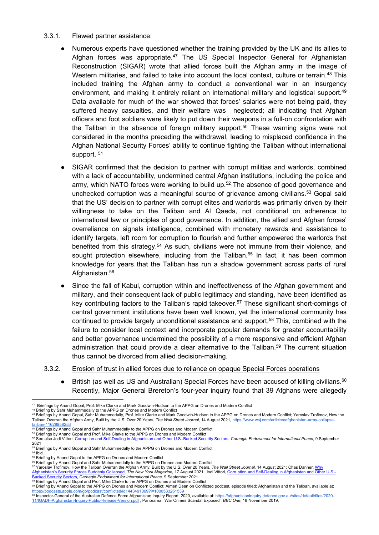#### 3.3.1. Flawed partner assistance:

- Numerous experts have questioned whether the training provided by the UK and its allies to Afghan forces was appropriate.<sup>47</sup> The US Special Inspector General for Afghanistan Reconstruction (SIGAR) wrote that allied forces built the Afghan army in the image of Western militaries, and failed to take into account the local context, culture or terrain.<sup>48</sup> This included training the Afghan army to conduct a conventional war in an insurgency environment, and making it entirely reliant on international military and logistical support.<sup>49</sup> Data available for much of the war showed that forces' salaries were not being paid, they suffered heavy casualties, and their welfare was neglected; all indicating that Afghan officers and foot soldiers were likely to put down their weapons in a full-on confrontation with the Taliban in the absence of foreign military support.<sup>50</sup> These warning signs were not considered in the months preceding the withdrawal, leading to misplaced confidence in the Afghan National Security Forces' ability to continue fighting the Taliban without international support.<sup>51</sup>
- SIGAR confirmed that the decision to partner with corrupt militias and warlords, combined with a lack of accountability, undermined central Afghan institutions, including the police and army, which NATO forces were working to build up.<sup>52</sup> The absence of good governance and unchecked corruption was a meaningful source of grievance among civilians.<sup>53</sup> Gopal said that the US' decision to partner with corrupt elites and warlords was primarily driven by their willingness to take on the Taliban and Al Qaeda, not conditional on adherence to international law or principles of good governance. In addition, the allied and Afghan forces' overreliance on signals intelligence, combined with monetary rewards and assistance to identify targets, left room for corruption to flourish and further empowered the warlords that benefited from this strategy.<sup>54</sup> As such, civilians were not immune from their violence, and sought protection elsewhere, including from the Taliban.<sup>55</sup> In fact, it has been common knowledge for years that the Taliban has run a shadow government across parts of rural Afghanistan.<sup>56</sup>
- Since the fall of Kabul, corruption within and ineffectiveness of the Afghan government and military, and their consequent lack of public legitimacy and standing, have been identified as key contributing factors to the Taliban's rapid takeover.<sup>57</sup> These significant short-comings of central government institutions have been well known, yet the international community has continued to provide largely unconditional assistance and support.<sup>58</sup> This, combined with the failure to consider local context and incorporate popular demands for greater accountability and better governance undermined the possibility of a more responsive and efficient Afghan administration that could provide a clear alternative to the Taliban.<sup>59</sup> The current situation thus cannot be divorced from allied decision-making.
- 3.3.2. Erosion of trust in allied forces due to reliance on opaque Special Forces operations
	- British (as well as US and Australian) Special Forces have been accused of killing civilians.<sup>60</sup> Recently, Major General Brereton's four-year inquiry found that 39 Afghans were allegedly

Inspector-General of the Australian Defence Force Afghanistan Inquiry Report, 2020, available at: [https://afghanistaninquiry.defence.gov.au/sites/default/files/2020-](https://afghanistaninquiry.defence.gov.au/sites/default/files/2020-11/IGADF-Afghanistan-Inquiry-Public-Release-Version.pdf) [11/IGADF-Afghanistan-Inquiry-Public-Release-Version.pdf](https://afghanistaninquiry.defence.gov.au/sites/default/files/2020-11/IGADF-Afghanistan-Inquiry-Public-Release-Version.pdf) ; Panorama, 'War Crimes Scandal Exposed', *BBC One*, 18 November 2019,

<sup>47</sup> Briefings by Anand Gopal, Prof. Mike Clarke and Mark Goodwin-Hudson to the APPG on Drones and Modern Conflict

<sup>48</sup> Briefing by Sahr Muhammedally to the APPG on Drones and Modern Conflict

<sup>49</sup> Briefings by Anand Gopal, Sahr Muhammedally, Prof. Mike Clarke and Mark Goodwin-Hudson to the APPG on Drones and Modern Conflict; Yaroslav Trofimov, How the Taliban Overran the Afghan Army, Built by the U.S. Over 20 Years, *The Wall Street Journal,* 14 August 2021, https://www.wsj.com/articles/afghanistan-army-collapse-<br>taliban-11628958253

t<u>aliban-11628958253</u><br><sup>50</sup> Briefings by Anand Gopal and Sahr Muhammedally to the APPG on Drones and Modern Conflict

<sup>51</sup> Briefings by Anand Gopal and Prof. Mike Clarke to the APPG on Drones and Modern Conflict

<sup>52</sup> See also Jodi Vittori, [Corruption](https://carnegieendowment.org/2021/09/09/corruption-and-self-dealing-in-afghanistan-and-other-u.s.-backed-security-sectors-pub-85303) [and](https://carnegieendowment.org/2021/09/09/corruption-and-self-dealing-in-afghanistan-and-other-u.s.-backed-security-sectors-pub-85303) [Self-Dealing](https://carnegieendowment.org/2021/09/09/corruption-and-self-dealing-in-afghanistan-and-other-u.s.-backed-security-sectors-pub-85303) [in](https://carnegieendowment.org/2021/09/09/corruption-and-self-dealing-in-afghanistan-and-other-u.s.-backed-security-sectors-pub-85303) [Afghanistan](https://carnegieendowment.org/2021/09/09/corruption-and-self-dealing-in-afghanistan-and-other-u.s.-backed-security-sectors-pub-85303) [and](https://carnegieendowment.org/2021/09/09/corruption-and-self-dealing-in-afghanistan-and-other-u.s.-backed-security-sectors-pub-85303) [Other](https://carnegieendowment.org/2021/09/09/corruption-and-self-dealing-in-afghanistan-and-other-u.s.-backed-security-sectors-pub-85303) [U.S.-Backed](https://carnegieendowment.org/2021/09/09/corruption-and-self-dealing-in-afghanistan-and-other-u.s.-backed-security-sectors-pub-85303) [Security](https://carnegieendowment.org/2021/09/09/corruption-and-self-dealing-in-afghanistan-and-other-u.s.-backed-security-sectors-pub-85303) [Sectors](https://carnegieendowment.org/2021/09/09/corruption-and-self-dealing-in-afghanistan-and-other-u.s.-backed-security-sectors-pub-85303), *Carnegie Endowment for International Peace,* 9 September 2021

<sup>53</sup> Briefings by Anand Gopal and Sahr Muhammedally to the APPG on Drones and Modern Conflict <sup>54</sup> Ibid.

<sup>55</sup> Briefing by Anand Gopal to the APPG on Drones and Modern Conflict

<sup>56</sup> Briefings by Anand Gopal and Sahr Muhammedally to the APPG on Drones and Modern Conflict

<sup>57</sup> Yaroslav Trofimov, How the Taliban Overran the Afghan Army, Built by the U.S. Over 20 Years, *The Wall Street Journal[,](https://carnegieendowment.org/2021/09/09/corruption-and-self-dealing-in-afghanistan-and-other-u.s.-backed-security-sectors-pub-85303)* 14 August 20[2](https://carnegieendowment.org/2021/09/09/corruption-and-self-dealing-in-afghanistan-and-other-u.s.-backed-security-sectors-pub-85303)1; Chas Danner, [Why](https://nymag.com/intelligencer/2021/08/why-afghanistans-security-forces-suddenly-collapsed.html)

<sup>&</sup>lt;u>[Afghanistan's](https://nymag.com/intelligencer/2021/08/why-afghanistans-security-forces-suddenly-collapsed.html) [Security](https://carnegieendowment.org/2021/09/09/corruption-and-self-dealing-in-afghanistan-and-other-u.s.-backed-security-sectors-pub-85303) [Forces](https://nymag.com/intelligencer/2021/08/why-afghanistans-security-forces-suddenly-collapsed.html) [Suddenly](https://nymag.com/intelligencer/2021/08/why-afghanistans-security-forces-suddenly-collapsed.html) Collapsed</u>, The New York Magazine, 17 August 2021; Jodi Vittori, <u>[Corruption](https://carnegieendowment.org/2021/09/09/corruption-and-self-dealing-in-afghanistan-and-other-u.s.-backed-security-sectors-pub-85303) [and](https://carnegieendowment.org/2021/09/09/corruption-and-self-dealing-in-afghanistan-and-other-u.s.-backed-security-sectors-pub-85303) [Self-Dealing](https://carnegieendowment.org/2021/09/09/corruption-and-self-dealing-in-afghanistan-and-other-u.s.-backed-security-sectors-pub-85303) [in](https://carnegieendowment.org/2021/09/09/corruption-and-self-dealing-in-afghanistan-and-other-u.s.-backed-security-sectors-pub-85303) [Afghanistan](https://carnegieendowment.org/2021/09/09/corruption-and-self-dealing-in-afghanistan-and-other-u.s.-backed-security-sectors-pub-85303) and [Other](https://carnegieendowment.org/2021/09/09/corruption-and-self-dealing-in-afghanistan-and-other-u.s.-backed-security-sectors-pub-85303) [U.S.-](https://carnegieendowment.org/2021/09/09/corruption-and-self-dealing-in-afghanistan-and-other-u.s.-backed-security-sectors-pub-85303)</u><br><u>[Backed](https://carnegieendowment.org/2021/09/09/corruption-and-self-dealing-in-afghanistan-and-other-u.s.-backed-security-sectors-pub-85303) Security [Sectors](https://carnegieendowment.org/2021/09/09/corruption-and-self-dealing-in-afghanistan-and-other-u.s.-backed-security-sectors-pub-85303), Carneg</u>ie Endowment for Intern

Briefings by Anand Gopal and Prof. Mike Clarke to the APPG on Drones and Modern Conflict

Briefing by Anand Gopal to the APPG on Drones and Modern Conflict; Aimen Dean on Conflicted podcast, episode titled: Afghanistan and the Taliban, available at:<br><sup>59</sup> Briefing by Anand Gopal to the APPG on Drones and Modern <https://podcasts.apple.com/gb/podcast/conflicted/id1443491069?i=1000533261539>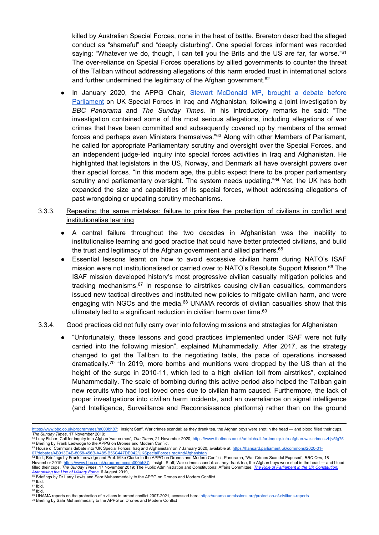killed by Australian Special Forces, none in the heat of battle. Brereton described the alleged conduct as "shameful" and "deeply disturbing". One special forces informant was recorded saying: "Whatever we do, though, I can tell you the Brits and the US are far, far worse." $61$ The over-reliance on Special Forces operations by allied governments to counter the threat of the Taliban without addressing allegations of this harm eroded trust in international actors and further undermined the legitimacy of the Afghan government.<sup>62</sup>

- In January 2020, the APPG Chair, [Stewart](https://hansard.parliament.uk/commons/2020-01-07/debates/4B913D4B-8058-456B-A485-B56C447DE042/UKSpecialForcesIraqAndAfghanistan) [McDonald](https://hansard.parliament.uk/commons/2020-01-07/debates/4B913D4B-8058-456B-A485-B56C447DE042/UKSpecialForcesIraqAndAfghanistan) [MP,](https://hansard.parliament.uk/commons/2020-01-07/debates/4B913D4B-8058-456B-A485-B56C447DE042/UKSpecialForcesIraqAndAfghanistan) [brought](https://hansard.parliament.uk/commons/2020-01-07/debates/4B913D4B-8058-456B-A485-B56C447DE042/UKSpecialForcesIraqAndAfghanistan) [a](https://hansard.parliament.uk/commons/2020-01-07/debates/4B913D4B-8058-456B-A485-B56C447DE042/UKSpecialForcesIraqAndAfghanistan) [debate](https://hansard.parliament.uk/commons/2020-01-07/debates/4B913D4B-8058-456B-A485-B56C447DE042/UKSpecialForcesIraqAndAfghanistan) [before](https://hansard.parliament.uk/commons/2020-01-07/debates/4B913D4B-8058-456B-A485-B56C447DE042/UKSpecialForcesIraqAndAfghanistan) [Parliament](https://hansard.parliament.uk/commons/2020-01-07/debates/4B913D4B-8058-456B-A485-B56C447DE042/UKSpecialForcesIraqAndAfghanistan) on UK Special Forces in Iraq and Afghanistan, following a joint investigation by *BBC Panorama* and *The Sunday Times.* In his introductory remarks he said: "The investigation contained some of the most serious allegations, including allegations of war crimes that have been committed and subsequently covered up by members of the armed forces and perhaps even Ministers themselves."<sup>63</sup> Along with other Members of Parliament, he called for appropriate Parliamentary scrutiny and oversight over the Special Forces, and an independent judge-led inquiry into special forces activities in Iraq and Afghanistan. He highlighted that legislators in the US, Norway, and Denmark all have oversight powers over their special forces. "In this modern age, the public expect there to be proper parliamentary scrutiny and parliamentary oversight. The system needs updating." $64$  Yet, the UK has both expanded the size and capabilities of its special forces, without addressing allegations of past wrongdoing or updating scrutiny mechanisms.
- 3.3.3. Repeating the same mistakes: failure to prioritise the protection of civilians in conflict and institutionalise learning
	- A central failure throughout the two decades in Afghanistan was the inability to institutionalise learning and good practice that could have better protected civilians, and build the trust and legitimacy of the Afghan government and allied partners.<sup>65</sup>
	- Essential lessons learnt on how to avoid excessive civilian harm during NATO's ISAF mission were not institutionalised or carried over to NATO's Resolute Support Mission.<sup>66</sup> The ISAF mission developed history's most progressive civilian casualty mitigation policies and tracking mechanisms.<sup>67</sup> In response to airstrikes causing civilian casualties, commanders issued new tactical directives and instituted new policies to mitigate civilian harm, and were engaging with NGOs and the media.<sup>68</sup> UNAMA records of civilian casualties show that this ultimately led to a significant reduction in civilian harm over time.<sup>69</sup>

### 3.3.4. Good practices did not fully carry over into following missions and strategies for Afghanistan

"Unfortunately, these lessons and good practices implemented under ISAF were not fully carried into the following mission", explained Muhammedally. After 2017, as the strategy changed to get the Taliban to the negotiating table, the pace of operations increased dramatically.<sup>70</sup> "In 2019, more bombs and munitions were dropped by the US than at the height of the surge in 2010-11, which led to a high civilian toll from airstrikes", explained Muhammedally. The scale of bombing during this active period also helped the Taliban gain new recruits who had lost loved ones due to civilian harm caused. Furthermore, the lack of proper investigations into civilian harm incidents, and an overreliance on signal intelligence (and Intelligence, Surveillance and Reconnaissance platforms) rather than on the ground

 $67$  Ibid. <sup>68</sup> Ibid.

<https://www.bbc.co.uk/programmes/m000bh87>; Insight Staff, War crimes scandal: as they drank tea, the Afghan boys were shot in the head — and blood filled their cups, *The Sunday Times*, 17 November 2019;

<sup>61</sup> Lucy Fisher, Call for inquiry into Afghan 'war crimes', *The Times,* 21 November 2020, <https://www.thetimes.co.uk/article/call-for-inquiry-into-afghan-war-crimes-zbjv5fg75> <sup>62</sup> Briefing by Frank Ledwidge to the APPG on Drones and Modern Conflict

<sup>&</sup>lt;sup>63</sup> House of Commons debate into 'UK Special Forces: Iraq and Afghanistan' on 7 January 2020, available at: [https://hansard.parliament.uk/commons/2020-01-](https://hansard.parliament.uk/commons/2020-01-07/debates/4B913D4B-8058-456B-A485-B56C447DE042/UKSpecialForcesIraqAndAfghanistan) [07/debates/4B913D4B-8058-456B-A485-B56C447DE042/UKSpecialForcesIraqAndAfghanistan](https://hansard.parliament.uk/commons/2020-01-07/debates/4B913D4B-8058-456B-A485-B56C447DE042/UKSpecialForcesIraqAndAfghanistan)

<sup>64</sup> Ibid.; Briefings by Frank Ledwidge and Prof. Mike Clarke to the APPG on Drones and Modern Conflict; Panorama, 'War Crimes Scandal Exposed', *BBC One*, 18 November 2019, <https://www.bbc.co.uk/programmes/m000bh87>; Insight Staff, War crimes scandal: as they drank tea, the Afghan boys were shot in the head — and blood filled their cups, [The](https://publications.parliament.uk/pa/cm201719/cmselect/cmpubadm/1891/189102.htm) Sunday Times, 17 November 2019; The Public Administration and Constitutional Affairs Committee, The [Role](https://publications.parliament.uk/pa/cm201719/cmselect/cmpubadm/1891/189102.htm) [of](https://publications.parliament.uk/pa/cm201719/cmselect/cmpubadm/1891/189102.htm) [Parliament](https://publications.parliament.uk/pa/cm201719/cmselect/cmpubadm/1891/189102.htm) [in](https://publications.parliament.uk/pa/cm201719/cmselect/cmpubadm/1891/189102.htm) [the](https://publications.parliament.uk/pa/cm201719/cmselect/cmpubadm/1891/189102.htm) [UK](https://publications.parliament.uk/pa/cm201719/cmselect/cmpubadm/1891/189102.htm) [Constitution:](https://publications.parliament.uk/pa/cm201719/cmselect/cmpubadm/1891/189102.htm) *[Authorising](https://publications.parliament.uk/pa/cm201719/cmselect/cmpubadm/1891/189102.htm) [the](https://publications.parliament.uk/pa/cm201719/cmselect/cmpubadm/1891/189102.htm) [Use](https://publications.parliament.uk/pa/cm201719/cmselect/cmpubadm/1891/189102.htm) [of](https://publications.parliament.uk/pa/cm201719/cmselect/cmpubadm/1891/189102.htm) [Military](https://publications.parliament.uk/pa/cm201719/cmselect/cmpubadm/1891/189102.htm) [Force](https://publications.parliament.uk/pa/cm201719/cmselect/cmpubadm/1891/189102.htm),* 6 August 2019,

**Briefings by Dr Larry Lewis and Sahr Muhammedally to the APPG on Drones and Modern Conflict** 

<sup>66</sup> Ibid.

<sup>69</sup> UNAMA reports on the protection of civilians in armed conflict 2007-2021, accessed here: <https://unama.unmissions.org/protection-of-civilians-reports>

<sup>70</sup> Briefing by Sahr Muhammedally to the APPG on Drones and Modern Conflict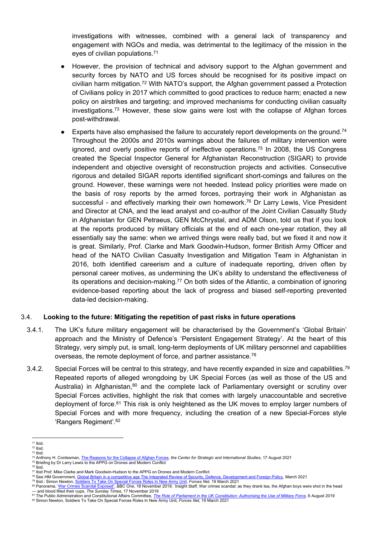investigations with witnesses, combined with a general lack of transparency and engagement with NGOs and media, was detrimental to the legitimacy of the mission in the eyes of civilian populations.<sup>71</sup>

- However, the provision of technical and advisory support to the Afghan government and security forces by NATO and US forces should be recognised for its positive impact on civilian harm mitigation.<sup>72</sup> With NATO's support, the Afghan government passed a Protection of Civilians policy in 2017 which committed to good practices to reduce harm; enacted a new policy on airstrikes and targeting; and improved mechanisms for conducting civilian casualty investigations.<sup>73</sup> However, these slow gains were lost with the collapse of Afghan forces post-withdrawal.
- Experts have also emphasised the failure to accurately report developments on the ground.<sup>74</sup> Throughout the 2000s and 2010s warnings about the failures of military intervention were ignored, and overly positive reports of ineffective operations.<sup>75</sup> In 2008, the US Congress created the Special Inspector General for Afghanistan Reconstruction (SIGAR) to provide independent and objective oversight of reconstruction projects and activities. Consecutive rigorous and detailed SIGAR reports identified significant short-comings and failures on the ground. However, these warnings were not heeded. Instead policy priorities were made on the basis of rosy reports by the armed forces, portraying their work in Afghanistan as successful - and effectively marking their own homework.<sup>76</sup> Dr Larry Lewis, Vice President and Director at CNA, and the lead analyst and co-author of the Joint Civilian Casualty Study in Afghanistan for GEN Petraeus, GEN McChrystal, and ADM Olson, told us that if you look at the reports produced by military officials at the end of each one-year rotation, they all essentially say the same: when we arrived things were really bad, but we fixed it and now it is great. Similarly, Prof. Clarke and Mark Goodwin-Hudson, former British Army Officer and head of the NATO Civilian Casualty Investigation and Mitigation Team in Afghanistan in 2016, both identified careerism and a culture of inadequate reporting, driven often by personal career motives, as undermining the UK's ability to understand the effectiveness of its operations and decision-making.<sup>77</sup> On both sides of the Atlantic, a combination of ignoring evidence-based reporting about the lack of progress and biased self-reporting prevented data-led decision-making.

### 3.4. **Looking to the future: Mitigating the repetition of past risks in future operations**

- 3.4.1. The UK's future military engagement will be characterised by the Government's 'Global Britain' approach and the Ministry of Defence's 'Persistent Engagement Strategy'. At the heart of this Strategy, very simply put, is small, long-term deployments of UK military personnel and capabilities overseas, the remote deployment of force, and partner assistance.<sup>78</sup>
- 3.4.2. Special Forces will be central to this strategy, and have recently expanded in size and capabilities.<sup>79</sup> Repeated reports of alleged wrongdoing by UK Special Forces (as well as those of the US and Australia) in Afghanistan, 80 and the complete lack of Parliamentary oversight or scrutiny over Special Forces activities, highlight the risk that comes with largely unaccountable and secretive deployment of force.<sup>81</sup> This risk is only heightened as the UK moves to employ larger numbers of Special Forces and with more frequency, including the creation of a new Special-Forces style 'Rangers Regiment'.<sup>82</sup>

<sup>71</sup> Ibid.

 $72$  Ibid. <sup>73</sup> Ibid.

<sup>74</sup> Anthony H. Cordesman, [The](https://csis-website-prod.s3.amazonaws.com/s3fs-public/publication/210816_Cordesman_Sudden_Collapse.pdf?8G.OilPH6D9mfPnqBJ4HpitDeh1k2Xaw) [Reasons](https://csis-website-prod.s3.amazonaws.com/s3fs-public/publication/210816_Cordesman_Sudden_Collapse.pdf?8G.OilPH6D9mfPnqBJ4HpitDeh1k2Xaw) [for](https://csis-website-prod.s3.amazonaws.com/s3fs-public/publication/210816_Cordesman_Sudden_Collapse.pdf?8G.OilPH6D9mfPnqBJ4HpitDeh1k2Xaw) [the](https://csis-website-prod.s3.amazonaws.com/s3fs-public/publication/210816_Cordesman_Sudden_Collapse.pdf?8G.OilPH6D9mfPnqBJ4HpitDeh1k2Xaw) [Collapse](https://csis-website-prod.s3.amazonaws.com/s3fs-public/publication/210816_Cordesman_Sudden_Collapse.pdf?8G.OilPH6D9mfPnqBJ4HpitDeh1k2Xaw) [of](https://csis-website-prod.s3.amazonaws.com/s3fs-public/publication/210816_Cordesman_Sudden_Collapse.pdf?8G.OilPH6D9mfPnqBJ4HpitDeh1k2Xaw) [Afghan](https://csis-website-prod.s3.amazonaws.com/s3fs-public/publication/210816_Cordesman_Sudden_Collapse.pdf?8G.OilPH6D9mfPnqBJ4HpitDeh1k2Xaw) [Forces](https://csis-website-prod.s3.amazonaws.com/s3fs-public/publication/210816_Cordesman_Sudden_Collapse.pdf?8G.OilPH6D9mfPnqBJ4HpitDeh1k2Xaw), *the Center for Strategic and International Studies,* 17 August 2021

<sup>&</sup>lt;sup>75</sup> Briefing by Dr Larry Lewis to the APPG on Drones and Modern Conflict<sup>75</sup>

<sup>76</sup> Ibid.

<sup>77</sup> Ibid Prof. Mike Clarke and Mark Goodwin-Hudson to the APPG on Drones and Modern Conflict

<sup>&</sup>lt;sup>78</sup> See HM Government, <u>[Global](https://assets.publishing.service.gov.uk/government/uploads/system/uploads/attachment_data/file/975077/Global_Britain_in_a_Competitive_Age-_the_Integrated_Review_of_Security__Defence__Development_and_Foreign_Policy.pdf) [Britain](https://assets.publishing.service.gov.uk/government/uploads/system/uploads/attachment_data/file/975077/Global_Britain_in_a_Competitive_Age-_the_Integrated_Review_of_Security__Defence__Development_and_Foreign_Policy.pdf) [in](https://assets.publishing.service.gov.uk/government/uploads/system/uploads/attachment_data/file/975077/Global_Britain_in_a_Competitive_Age-_the_Integrated_Review_of_Security__Defence__Development_and_Foreign_Policy.pdf) [a](https://assets.publishing.service.gov.uk/government/uploads/system/uploads/attachment_data/file/975077/Global_Britain_in_a_Competitive_Age-_the_Integrated_Review_of_Security__Defence__Development_and_Foreign_Policy.pdf) [competitive](https://assets.publishing.service.gov.uk/government/uploads/system/uploads/attachment_data/file/975077/Global_Britain_in_a_Competitive_Age-_the_Integrated_Review_of_Security__Defence__Development_and_Foreign_Policy.pdf) [age](https://assets.publishing.service.gov.uk/government/uploads/system/uploads/attachment_data/file/975077/Global_Britain_in_a_Competitive_Age-_the_Integrated_Review_of_Security__Defence__Development_and_Foreign_Policy.pdf) [The](https://assets.publishing.service.gov.uk/government/uploads/system/uploads/attachment_data/file/975077/Global_Britain_in_a_Competitive_Age-_the_Integrated_Review_of_Security__Defence__Development_and_Foreign_Policy.pdf) [Integrated](https://assets.publishing.service.gov.uk/government/uploads/system/uploads/attachment_data/file/975077/Global_Britain_in_a_Competitive_Age-_the_Integrated_Review_of_Security__Defence__Development_and_Foreign_Policy.pdf) [Review](https://assets.publishing.service.gov.uk/government/uploads/system/uploads/attachment_data/file/975077/Global_Britain_in_a_Competitive_Age-_the_Integrated_Review_of_Security__Defence__Development_and_Foreign_Policy.pdf) [of](https://assets.publishing.service.gov.uk/government/uploads/system/uploads/attachment_data/file/975077/Global_Britain_in_a_Competitive_Age-_the_Integrated_Review_of_Security__Defence__Development_and_Foreign_Policy.pdf) [Security,](https://assets.publishing.service.gov.uk/government/uploads/system/uploads/attachment_data/file/975077/Global_Britain_in_a_Competitive_Age-_the_Integrated_Review_of_Security__Defence__Development_and_Foreign_Policy.pdf) [Defence,](https://assets.publishing.service.gov.uk/government/uploads/system/uploads/attachment_data/file/975077/Global_Britain_in_a_Competitive_Age-_the_Integrated_Review_of_Security__Defence__Development_and_Foreign_Policy.pdf) [Development](https://assets.publishing.service.gov.uk/government/uploads/system/uploads/attachment_data/file/975077/Global_Britain_in_a_Competitive_Age-_the_Integrated_Review_of_Security__Defence__Development_and_Foreign_Policy.pdf) [and](https://assets.publishing.service.gov.uk/government/uploads/system/uploads/attachment_data/file/975077/Global_Britain_in_a_Competitive_Age-_the_Integrated_Review_of_Security__Defence__Development_and_Foreign_Policy.pdf) [Foreign](https://assets.publishing.service.gov.uk/government/uploads/system/uploads/attachment_data/file/975077/Global_Britain_in_a_Competitive_Age-_the_Integrated_Review_of_Security__Defence__Development_and_Foreign_Policy.pdf) [Policy,](https://assets.publishing.service.gov.uk/government/uploads/system/uploads/attachment_data/file/975077/Global_Britain_in_a_Competitive_Age-_the_Integrated_Review_of_Security__Defence__Development_and_Foreign_Policy.pdf) March 2021<br><sup>79</sup> Ibid.: Simon Newton, <u>[Soldiers](https://www.forces.net/news/soldiers-take-special-forces-roles-new-army-unit) [To](https://www.forces.net/news/soldiers-take-special-forces-roles-new-army-unit) [Take](https://www.forces.net/news/soldiers-take-special-forces-roles-new-army-unit) [On](https://www.forces.net/news/soldiers-take-special-forces-roles-new-army-unit) [Special](https://www.forces.net/news/soldiers-take-special-forces-roles-new-army-unit) [Forces](https://www.forces.net/news/soldiers-take-special-forces-roles-new-army-unit) [Roles](https://www.forces.net/news/soldiers-take-special-forces-roles-new-army-unit) [In](https://www.forces.net/news/soldiers-take-special-forces-roles-new-army-unit) [New](https://www.forces.net/news/soldiers-take-special-forces-roles-new-army-unit)</u></u>

<sup>&</sup>lt;sup>80</sup> Panorama, '<u>[War](https://www.bbc.co.uk/programmes/m000bh87) [Crimes](https://www.bbc.co.uk/programmes/m000bh87) [Scandal](https://www.bbc.co.uk/programmes/m000bh87) [Exposed',](https://www.bbc.co.uk/programmes/m000bh87)</u> BBC One, 18 November 2019; Insight Staff, War crimes scandal: as they drank tea, the Afghan boys were shot in the head<br>— and blood filled their cups, *The Sunday Times,* 17

<sup>81</sup> [The](https://publications.parliament.uk/pa/cm201719/cmselect/cmpubadm/1891/189102.htm) Public Administration and Constitutional Affairs Committee, The [Role](https://publications.parliament.uk/pa/cm201719/cmselect/cmpubadm/1891/189102.htm) [of](https://publications.parliament.uk/pa/cm201719/cmselect/cmpubadm/1891/189102.htm) [Parliament](https://publications.parliament.uk/pa/cm201719/cmselect/cmpubadm/1891/189102.htm) [in](https://publications.parliament.uk/pa/cm201719/cmselect/cmpubadm/1891/189102.htm) [the](https://publications.parliament.uk/pa/cm201719/cmselect/cmpubadm/1891/189102.htm) [UK](https://publications.parliament.uk/pa/cm201719/cmselect/cmpubadm/1891/189102.htm) [Constitution:](https://publications.parliament.uk/pa/cm201719/cmselect/cmpubadm/1891/189102.htm) [Authorising](https://publications.parliament.uk/pa/cm201719/cmselect/cmpubadm/1891/189102.htm) the [Use](https://publications.parliament.uk/pa/cm201719/cmselect/cmpubadm/1891/189102.htm) of [Military](https://publications.parliament.uk/pa/cm201719/cmselect/cmpubadm/1891/189102.htm) [Force,](https://publications.parliament.uk/pa/cm201719/cmselect/cmpubadm/1891/189102.htm) 6 August 2019 <sup>82</sup> Simon Newton, Soldiers To Take On Special Forces Roles In New Army Unit, *Forces Net,* 19 March 2021